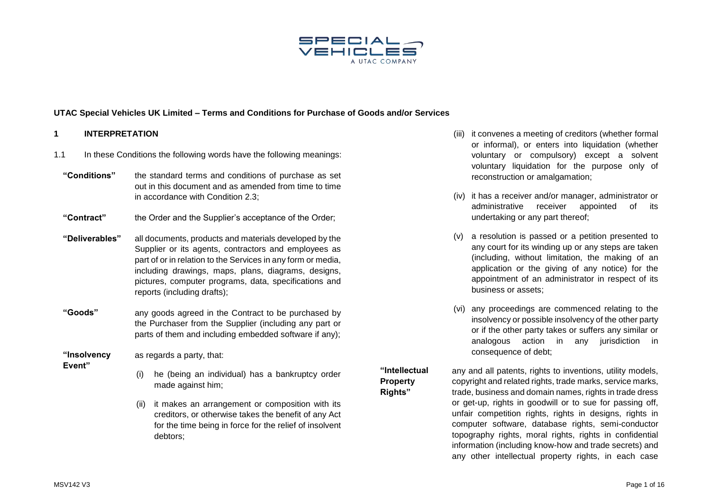

#### **1 INTERPRETATION**

- 1.1 In these Conditions the following words have the following meanings:
	- **"Conditions"** the standard terms and conditions of purchase as set out in this document and as amended from time to time in accordance with Condition [2.3;](#page-2-0)
	- **"Contract"** the Order and the Supplier's acceptance of the Order;
	- **"Deliverables"** all documents, products and materials developed by the Supplier or its agents, contractors and employees as part of or in relation to the Services in any form or media, including drawings, maps, plans, diagrams, designs, pictures, computer programs, data, specifications and reports (including drafts);
	- **"Goods"** any goods agreed in the Contract to be purchased by the Purchaser from the Supplier (including any part or parts of them and including embedded software if any);

**"Insolvency**  as regards a party, that:

- **Event"**
- (i) he (being an individual) has a bankruptcy order made against him;
- (ii) it makes an arrangement or composition with its creditors, or otherwise takes the benefit of any Act for the time being in force for the relief of insolvent debtors;
- (iii) it convenes a meeting of creditors (whether formal or informal), or enters into liquidation (whether voluntary or compulsory) except a solvent voluntary liquidation for the purpose only of reconstruction or amalgamation;
- (iv) it has a receiver and/or manager, administrator or administrative receiver appointed of its undertaking or any part thereof;
- (v) a resolution is passed or a petition presented to any court for its winding up or any steps are taken (including, without limitation, the making of an application or the giving of any notice) for the appointment of an administrator in respect of its business or assets;
- (vi) any proceedings are commenced relating to the insolvency or possible insolvency of the other party or if the other party takes or suffers any similar or analogous action in any jurisdiction in consequence of debt;

# **"Intellectual Property Rights"**

any and all patents, rights to inventions, utility models, copyright and related rights, trade marks, service marks, trade, business and domain names, rights in trade dress or get-up, rights in goodwill or to sue for passing off, unfair competition rights, rights in designs, rights in computer software, database rights, semi-conductor topography rights, moral rights, rights in confidential information (including know-how and trade secrets) and any other intellectual property rights, in each case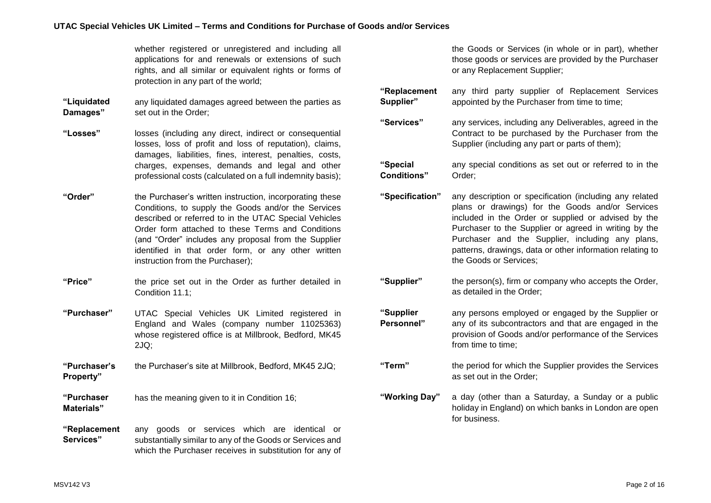whether registered or unregistered and including all applications for and renewals or extensions of such rights, and all similar or equivalent rights or forms of protection in any part of the world;

- **"Liquidated Damages"** any liquidated damages agreed between the parties as set out in the Order;
- **"Losses"** losses (including any direct, indirect or consequential losses, loss of profit and loss of reputation), claims, damages, liabilities, fines, interest, penalties, costs, charges, expenses, demands and legal and other professional costs (calculated on a full indemnity basis);
- **"Order"** the Purchaser's written instruction, incorporating these Conditions, to supply the Goods and/or the Services described or referred to in the UTAC Special Vehicles Order form attached to these Terms and Conditions (and "Order" includes any proposal from the Supplier identified in that order form, or any other written instruction from the Purchaser);
- **"Price"** the price set out in the Order as further detailed in Condition [11.1;](#page-6-0)
- **"Purchaser"** UTAC Special Vehicles UK Limited registered in England and Wales (company number 11025363) whose registered office is at Millbrook, Bedford, MK45 2JQ;
- **"Purchaser's Property"** the Purchaser's site at Millbrook, Bedford, MK45 2JQ;
- **"Purchaser Materials"** has the meaning given to it in Condition [16;](#page-8-0)
- **"Replacement Services"** any goods or services which are identical or substantially similar to any of the Goods or Services and which the Purchaser receives in substitution for any of

the Goods or Services (in whole or in part), whether those goods or services are provided by the Purchaser or any Replacement Supplier;

**"Replacement Supplier"** any third party supplier of Replacement Services appointed by the Purchaser from time to time;

**"Services"** any services, including any Deliverables, agreed in the Contract to be purchased by the Purchaser from the Supplier (including any part or parts of them);

**"Special Conditions"** any special conditions as set out or referred to in the Order;

**"Specification"** any description or specification (including any related plans or drawings) for the Goods and/or Services included in the Order or supplied or advised by the Purchaser to the Supplier or agreed in writing by the Purchaser and the Supplier, including any plans, patterns, drawings, data or other information relating to the Goods or Services;

**"Supplier"** the person(s), firm or company who accepts the Order, as detailed in the Order;

**"Supplier Personnel"** any persons employed or engaged by the Supplier or any of its subcontractors and that are engaged in the provision of Goods and/or performance of the Services from time to time;

**"Term"** the period for which the Supplier provides the Services as set out in the Order;

**"Working Day"** a day (other than a Saturday, a Sunday or a public holiday in England) on which banks in London are open for business.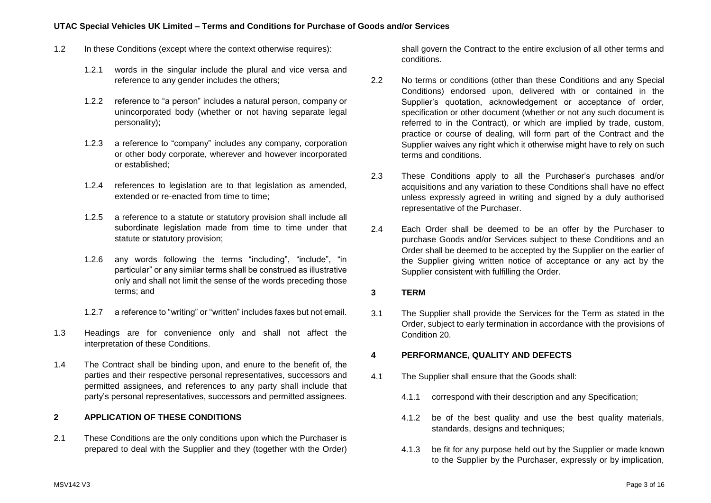- 1.2 In these Conditions (except where the context otherwise requires):
	- 1.2.1 words in the singular include the plural and vice versa and reference to any gender includes the others;
	- 1.2.2 reference to "a person" includes a natural person, company or unincorporated body (whether or not having separate legal personality);
	- 1.2.3 a reference to "company" includes any company, corporation or other body corporate, wherever and however incorporated or established;
	- 1.2.4 references to legislation are to that legislation as amended, extended or re-enacted from time to time;
	- 1.2.5 a reference to a statute or statutory provision shall include all subordinate legislation made from time to time under that statute or statutory provision;
	- 1.2.6 any words following the terms "including", "include", "in particular" or any similar terms shall be construed as illustrative only and shall not limit the sense of the words preceding those terms; and
	- 1.2.7 a reference to "writing" or "written" includes faxes but not email.
- 1.3 Headings are for convenience only and shall not affect the interpretation of these Conditions.
- 1.4 The Contract shall be binding upon, and enure to the benefit of, the parties and their respective personal representatives, successors and permitted assignees, and references to any party shall include that party's personal representatives, successors and permitted assignees.

## **2 APPLICATION OF THESE CONDITIONS**

2.1 These Conditions are the only conditions upon which the Purchaser is prepared to deal with the Supplier and they (together with the Order) shall govern the Contract to the entire exclusion of all other terms and conditions.

- 2.2 No terms or conditions (other than these Conditions and any Special Conditions) endorsed upon, delivered with or contained in the Supplier's quotation, acknowledgement or acceptance of order, specification or other document (whether or not any such document is referred to in the Contract), or which are implied by trade, custom, practice or course of dealing, will form part of the Contract and the Supplier waives any right which it otherwise might have to rely on such terms and conditions.
- <span id="page-2-0"></span>2.3 These Conditions apply to all the Purchaser's purchases and/or acquisitions and any variation to these Conditions shall have no effect unless expressly agreed in writing and signed by a duly authorised representative of the Purchaser.
- 2.4 Each Order shall be deemed to be an offer by the Purchaser to purchase Goods and/or Services subject to these Conditions and an Order shall be deemed to be accepted by the Supplier on the earlier of the Supplier giving written notice of acceptance or any act by the Supplier consistent with fulfilling the Order.

### **3 TERM**

3.1 The Supplier shall provide the Services for the Term as stated in the Order, subject to early termination in accordance with the provisions of Condition [20.](#page-10-0)

### <span id="page-2-1"></span>**4 PERFORMANCE, QUALITY AND DEFECTS**

- 4.1 The Supplier shall ensure that the Goods shall:
	- 4.1.1 correspond with their description and any Specification;
	- 4.1.2 be of the best quality and use the best quality materials, standards, designs and techniques;
	- 4.1.3 be fit for any purpose held out by the Supplier or made known to the Supplier by the Purchaser, expressly or by implication,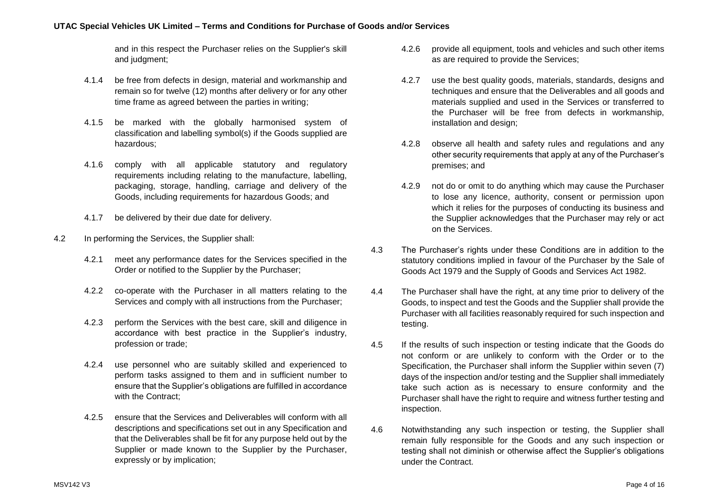and in this respect the Purchaser relies on the Supplier's skill and judgment;

- 4.1.4 be free from defects in design, material and workmanship and remain so for twelve (12) months after delivery or for any other time frame as agreed between the parties in writing;
- 4.1.5 be marked with the globally harmonised system of classification and labelling symbol(s) if the Goods supplied are hazardous;
- 4.1.6 comply with all applicable statutory and regulatory requirements including relating to the manufacture, labelling, packaging, storage, handling, carriage and delivery of the Goods, including requirements for hazardous Goods; and
- 4.1.7 be delivered by their due date for delivery.
- 4.2 In performing the Services, the Supplier shall:
	- 4.2.1 meet any performance dates for the Services specified in the Order or notified to the Supplier by the Purchaser;
	- 4.2.2 co-operate with the Purchaser in all matters relating to the Services and comply with all instructions from the Purchaser;
	- 4.2.3 perform the Services with the best care, skill and diligence in accordance with best practice in the Supplier's industry, profession or trade;
	- 4.2.4 use personnel who are suitably skilled and experienced to perform tasks assigned to them and in sufficient number to ensure that the Supplier's obligations are fulfilled in accordance with the Contract:
	- 4.2.5 ensure that the Services and Deliverables will conform with all descriptions and specifications set out in any Specification and that the Deliverables shall be fit for any purpose held out by the Supplier or made known to the Supplier by the Purchaser, expressly or by implication;
- 4.2.6 provide all equipment, tools and vehicles and such other items as are required to provide the Services;
- 4.2.7 use the best quality goods, materials, standards, designs and techniques and ensure that the Deliverables and all goods and materials supplied and used in the Services or transferred to the Purchaser will be free from defects in workmanship, installation and design;
- 4.2.8 observe all health and safety rules and regulations and any other security requirements that apply at any of the Purchaser's premises; and
- 4.2.9 not do or omit to do anything which may cause the Purchaser to lose any licence, authority, consent or permission upon which it relies for the purposes of conducting its business and the Supplier acknowledges that the Purchaser may rely or act on the Services.
- 4.3 The Purchaser's rights under these Conditions are in addition to the statutory conditions implied in favour of the Purchaser by the Sale of Goods Act 1979 and the Supply of Goods and Services Act 1982.
- 4.4 The Purchaser shall have the right, at any time prior to delivery of the Goods, to inspect and test the Goods and the Supplier shall provide the Purchaser with all facilities reasonably required for such inspection and testing.
- 4.5 If the results of such inspection or testing indicate that the Goods do not conform or are unlikely to conform with the Order or to the Specification, the Purchaser shall inform the Supplier within seven (7) days of the inspection and/or testing and the Supplier shall immediately take such action as is necessary to ensure conformity and the Purchaser shall have the right to require and witness further testing and inspection.
- 4.6 Notwithstanding any such inspection or testing, the Supplier shall remain fully responsible for the Goods and any such inspection or testing shall not diminish or otherwise affect the Supplier's obligations under the Contract.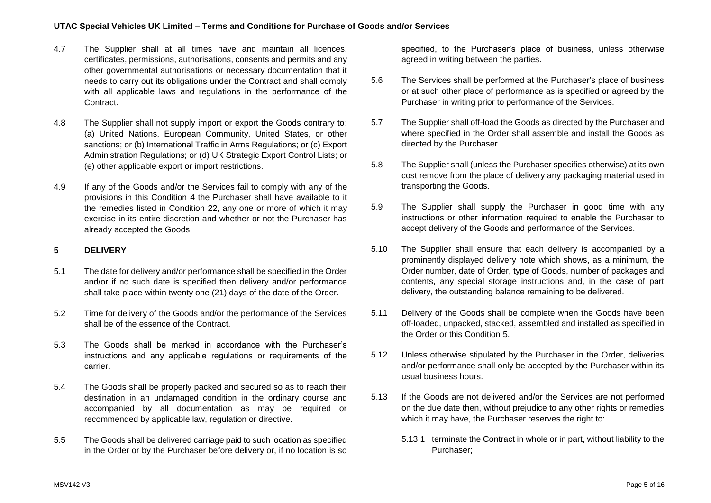- 4.7 The Supplier shall at all times have and maintain all licences, certificates, permissions, authorisations, consents and permits and any other governmental authorisations or necessary documentation that it needs to carry out its obligations under the Contract and shall comply with all applicable laws and regulations in the performance of the Contract.
- 4.8 The Supplier shall not supply import or export the Goods contrary to: (a) United Nations, European Community, United States, or other sanctions; or (b) International Traffic in Arms Regulations; or (c) Export Administration Regulations; or (d) UK Strategic Export Control Lists; or (e) other applicable export or import restrictions.
- 4.9 If any of the Goods and/or the Services fail to comply with any of the provisions in this Condition [4](#page-2-1) the Purchaser shall have available to it the remedies listed in Condition [22,](#page-11-0) any one or more of which it may exercise in its entire discretion and whether or not the Purchaser has already accepted the Goods.

# <span id="page-4-0"></span>**5 DELIVERY**

- 5.1 The date for delivery and/or performance shall be specified in the Order and/or if no such date is specified then delivery and/or performance shall take place within twenty one (21) days of the date of the Order.
- 5.2 Time for delivery of the Goods and/or the performance of the Services shall be of the essence of the Contract.
- 5.3 The Goods shall be marked in accordance with the Purchaser's instructions and any applicable regulations or requirements of the carrier.
- 5.4 The Goods shall be properly packed and secured so as to reach their destination in an undamaged condition in the ordinary course and accompanied by all documentation as may be required or recommended by applicable law, regulation or directive.
- 5.5 The Goods shall be delivered carriage paid to such location as specified in the Order or by the Purchaser before delivery or, if no location is so

specified, to the Purchaser's place of business, unless otherwise agreed in writing between the parties.

- 5.6 The Services shall be performed at the Purchaser's place of business or at such other place of performance as is specified or agreed by the Purchaser in writing prior to performance of the Services.
- 5.7 The Supplier shall off-load the Goods as directed by the Purchaser and where specified in the Order shall assemble and install the Goods as directed by the Purchaser.
- 5.8 The Supplier shall (unless the Purchaser specifies otherwise) at its own cost remove from the place of delivery any packaging material used in transporting the Goods.
- 5.9 The Supplier shall supply the Purchaser in good time with any instructions or other information required to enable the Purchaser to accept delivery of the Goods and performance of the Services.
- 5.10 The Supplier shall ensure that each delivery is accompanied by a prominently displayed delivery note which shows, as a minimum, the Order number, date of Order, type of Goods, number of packages and contents, any special storage instructions and, in the case of part delivery, the outstanding balance remaining to be delivered.
- 5.11 Delivery of the Goods shall be complete when the Goods have been off-loaded, unpacked, stacked, assembled and installed as specified in the Order or this Condition [5.](#page-4-0)
- 5.12 Unless otherwise stipulated by the Purchaser in the Order, deliveries and/or performance shall only be accepted by the Purchaser within its usual business hours.
- <span id="page-4-1"></span>5.13 If the Goods are not delivered and/or the Services are not performed on the due date then, without prejudice to any other rights or remedies which it may have, the Purchaser reserves the right to:
	- 5.13.1 terminate the Contract in whole or in part, without liability to the Purchaser;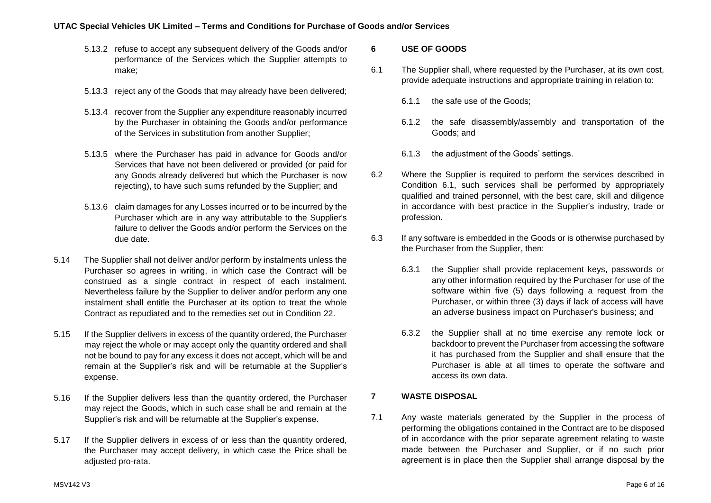- 5.13.2 refuse to accept any subsequent delivery of the Goods and/or performance of the Services which the Supplier attempts to make;
- 5.13.3 reject any of the Goods that may already have been delivered;
- 5.13.4 recover from the Supplier any expenditure reasonably incurred by the Purchaser in obtaining the Goods and/or performance of the Services in substitution from another Supplier;
- 5.13.5 where the Purchaser has paid in advance for Goods and/or Services that have not been delivered or provided (or paid for any Goods already delivered but which the Purchaser is now rejecting), to have such sums refunded by the Supplier; and
- 5.13.6 claim damages for any Losses incurred or to be incurred by the Purchaser which are in any way attributable to the Supplier's failure to deliver the Goods and/or perform the Services on the due date.
- 5.14 The Supplier shall not deliver and/or perform by instalments unless the Purchaser so agrees in writing, in which case the Contract will be construed as a single contract in respect of each instalment. Nevertheless failure by the Supplier to deliver and/or perform any one instalment shall entitle the Purchaser at its option to treat the whole Contract as repudiated and to the remedies set out in Condition [22.](#page-11-0)
- 5.15 If the Supplier delivers in excess of the quantity ordered, the Purchaser may reject the whole or may accept only the quantity ordered and shall not be bound to pay for any excess it does not accept, which will be and remain at the Supplier's risk and will be returnable at the Supplier's expense.
- 5.16 If the Supplier delivers less than the quantity ordered, the Purchaser may reject the Goods, which in such case shall be and remain at the Supplier's risk and will be returnable at the Supplier's expense.
- 5.17 If the Supplier delivers in excess of or less than the quantity ordered, the Purchaser may accept delivery, in which case the Price shall be adjusted pro-rata.

# **6 USE OF GOODS**

- <span id="page-5-0"></span>6.1 The Supplier shall, where requested by the Purchaser, at its own cost, provide adequate instructions and appropriate training in relation to:
	- 6.1.1 the safe use of the Goods;
	- 6.1.2 the safe disassembly/assembly and transportation of the Goods; and
	- 6.1.3 the adjustment of the Goods' settings.
- 6.2 Where the Supplier is required to perform the services described in Condition [6.1,](#page-5-0) such services shall be performed by appropriately qualified and trained personnel, with the best care, skill and diligence in accordance with best practice in the Supplier's industry, trade or profession.
- 6.3 If any software is embedded in the Goods or is otherwise purchased by the Purchaser from the Supplier, then:
	- 6.3.1 the Supplier shall provide replacement keys, passwords or any other information required by the Purchaser for use of the software within five (5) days following a request from the Purchaser, or within three (3) days if lack of access will have an adverse business impact on Purchaser's business; and
	- 6.3.2 the Supplier shall at no time exercise any remote lock or backdoor to prevent the Purchaser from accessing the software it has purchased from the Supplier and shall ensure that the Purchaser is able at all times to operate the software and access its own data.

# **7 WASTE DISPOSAL**

7.1 Any waste materials generated by the Supplier in the process of performing the obligations contained in the Contract are to be disposed of in accordance with the prior separate agreement relating to waste made between the Purchaser and Supplier, or if no such prior agreement is in place then the Supplier shall arrange disposal by the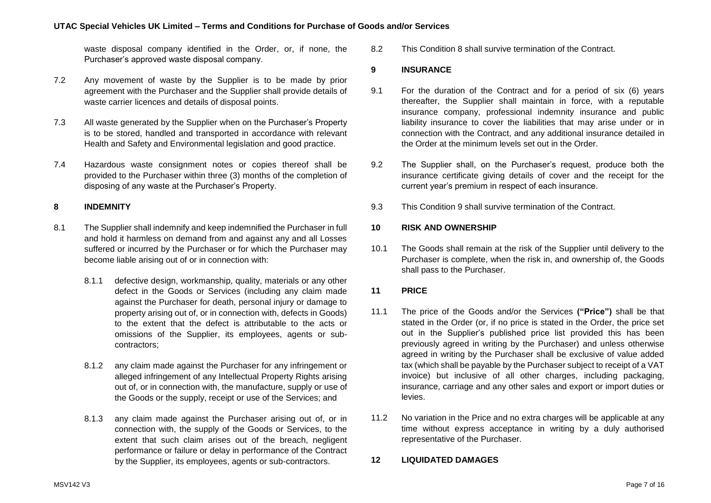waste disposal company identified in the Order, or, if none, the Purchaser's approved waste disposal company.

- 7.2 Any movement of waste by the Supplier is to be made by prior agreement with the Purchaser and the Supplier shall provide details of waste carrier licences and details of disposal points.
- 7.3 All waste generated by the Supplier when on the Purchaser's Property is to be stored, handled and transported in accordance with relevant Health and Safety and Environmental legislation and good practice.
- 7.4 Hazardous waste consignment notes or copies thereof shall be provided to the Purchaser within three (3) months of the completion of disposing of any waste at the Purchaser's Property.

# <span id="page-6-1"></span>**8 INDEMNITY**

- 8.1 The Supplier shall indemnify and keep indemnified the Purchaser in full and hold it harmless on demand from and against any and all Losses suffered or incurred by the Purchaser or for which the Purchaser may become liable arising out of or in connection with:
	- 8.1.1 defective design, workmanship, quality, materials or any other defect in the Goods or Services (including any claim made against the Purchaser for death, personal injury or damage to property arising out of, or in connection with, defects in Goods) to the extent that the defect is attributable to the acts or omissions of the Supplier, its employees, agents or subcontractors;
	- 8.1.2 any claim made against the Purchaser for any infringement or alleged infringement of any Intellectual Property Rights arising out of, or in connection with, the manufacture, supply or use of the Goods or the supply, receipt or use of the Services; and
	- 8.1.3 any claim made against the Purchaser arising out of, or in connection with, the supply of the Goods or Services, to the extent that such claim arises out of the breach, negligent performance or failure or delay in performance of the Contract by the Supplier, its employees, agents or sub-contractors.

8.2 This Condition [8](#page-6-1) shall survive termination of the Contract.

#### <span id="page-6-2"></span>**9 INSURANCE**

- 9.1 For the duration of the Contract and for a period of six (6) years thereafter, the Supplier shall maintain in force, with a reputable insurance company, professional indemnity insurance and public liability insurance to cover the liabilities that may arise under or in connection with the Contract, and any additional insurance detailed in the Order at the minimum levels set out in the Order.
- 9.2 The Supplier shall, on the Purchaser's request, produce both the insurance certificate giving details of cover and the receipt for the current year's premium in respect of each insurance.
- 9.3 This Condition [9](#page-6-2) shall survive termination of the Contract.

# **10 RISK AND OWNERSHIP**

10.1 The Goods shall remain at the risk of the Supplier until delivery to the Purchaser is complete, when the risk in, and ownership of, the Goods shall pass to the Purchaser.

### **11 PRICE**

- <span id="page-6-0"></span>11.1 The price of the Goods and/or the Services **("Price")** shall be that stated in the Order (or, if no price is stated in the Order, the price set out in the Supplier's published price list provided this has been previously agreed in writing by the Purchaser) and unless otherwise agreed in writing by the Purchaser shall be exclusive of value added tax (which shall be payable by the Purchaser subject to receipt of a VAT invoice) but inclusive of all other charges, including packaging, insurance, carriage and any other sales and export or import duties or levies.
- 11.2 No variation in the Price and no extra charges will be applicable at any time without express acceptance in writing by a duly authorised representative of the Purchaser.

#### **12 LIQUIDATED DAMAGES**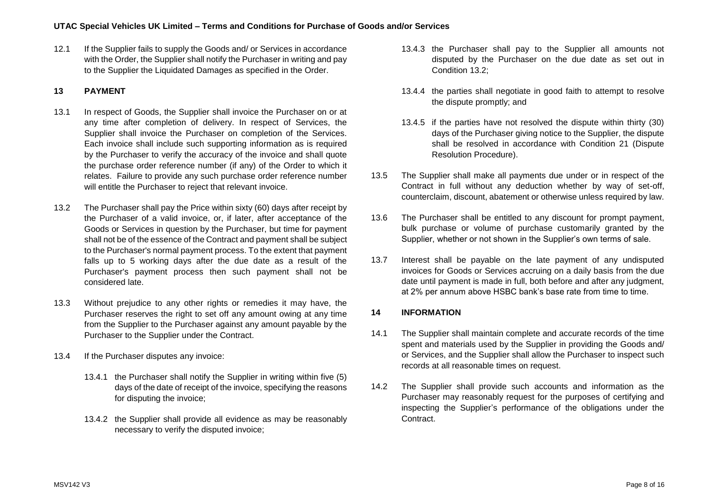12.1 If the Supplier fails to supply the Goods and/ or Services in accordance with the Order, the Supplier shall notify the Purchaser in writing and pay to the Supplier the Liquidated Damages as specified in the Order.

# **13 PAYMENT**

- 13.1 In respect of Goods, the Supplier shall invoice the Purchaser on or at any time after completion of delivery. In respect of Services, the Supplier shall invoice the Purchaser on completion of the Services. Each invoice shall include such supporting information as is required by the Purchaser to verify the accuracy of the invoice and shall quote the purchase order reference number (if any) of the Order to which it relates. Failure to provide any such purchase order reference number will entitle the Purchaser to reject that relevant invoice.
- 13.2 The Purchaser shall pay the Price within sixty (60) days after receipt by the Purchaser of a valid invoice, or, if later, after acceptance of the Goods or Services in question by the Purchaser, but time for payment shall not be of the essence of the Contract and payment shall be subject to the Purchaser's normal payment process. To the extent that payment falls up to 5 working days after the due date as a result of the Purchaser's payment process then such payment shall not be considered late.
- 13.3 Without prejudice to any other rights or remedies it may have, the Purchaser reserves the right to set off any amount owing at any time from the Supplier to the Purchaser against any amount payable by the Purchaser to the Supplier under the Contract.
- 13.4 If the Purchaser disputes any invoice:
	- 13.4.1 the Purchaser shall notify the Supplier in writing within five (5) days of the date of receipt of the invoice, specifying the reasons for disputing the invoice;
	- 13.4.2 the Supplier shall provide all evidence as may be reasonably necessary to verify the disputed invoice;
- 13.4.3 the Purchaser shall pay to the Supplier all amounts not disputed by the Purchaser on the due date as set out in Condition 13.2;
- 13.4.4 the parties shall negotiate in good faith to attempt to resolve the dispute promptly; and
- 13.4.5 if the parties have not resolved the dispute within thirty (30) days of the Purchaser giving notice to the Supplier, the dispute shall be resolved in accordance with Condition 21 (Dispute Resolution Procedure).
- 13.5 The Supplier shall make all payments due under or in respect of the Contract in full without any deduction whether by way of set-off, counterclaim, discount, abatement or otherwise unless required by law.
- 13.6 The Purchaser shall be entitled to any discount for prompt payment, bulk purchase or volume of purchase customarily granted by the Supplier, whether or not shown in the Supplier's own terms of sale.
- 13.7 Interest shall be payable on the late payment of any undisputed invoices for Goods or Services accruing on a daily basis from the due date until payment is made in full, both before and after any judgment, at 2% per annum above HSBC bank's base rate from time to time.

# **14 INFORMATION**

- 14.1 The Supplier shall maintain complete and accurate records of the time spent and materials used by the Supplier in providing the Goods and/ or Services, and the Supplier shall allow the Purchaser to inspect such records at all reasonable times on request.
- 14.2 The Supplier shall provide such accounts and information as the Purchaser may reasonably request for the purposes of certifying and inspecting the Supplier's performance of the obligations under the Contract.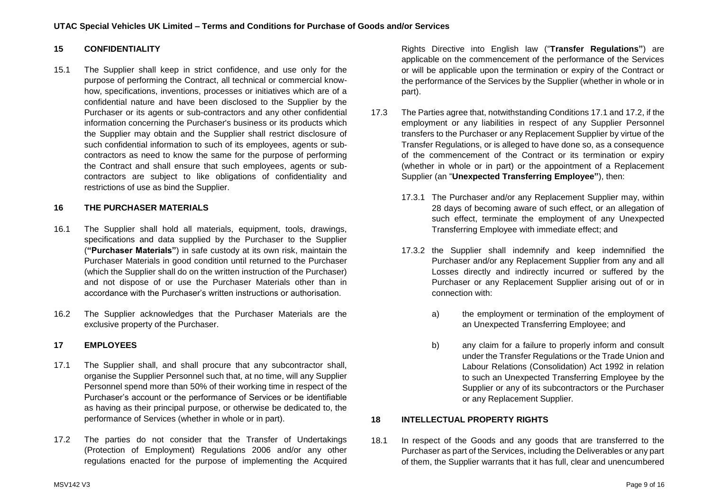# **15 CONFIDENTIALITY**

15.1 The Supplier shall keep in strict confidence, and use only for the purpose of performing the Contract, all technical or commercial knowhow, specifications, inventions, processes or initiatives which are of a confidential nature and have been disclosed to the Supplier by the Purchaser or its agents or sub-contractors and any other confidential information concerning the Purchaser's business or its products which the Supplier may obtain and the Supplier shall restrict disclosure of such confidential information to such of its employees, agents or subcontractors as need to know the same for the purpose of performing the Contract and shall ensure that such employees, agents or subcontractors are subject to like obligations of confidentiality and restrictions of use as bind the Supplier.

# <span id="page-8-0"></span>**16 THE PURCHASER MATERIALS**

- 16.1 The Supplier shall hold all materials, equipment, tools, drawings, specifications and data supplied by the Purchaser to the Supplier (**"Purchaser Materials"**) in safe custody at its own risk, maintain the Purchaser Materials in good condition until returned to the Purchaser (which the Supplier shall do on the written instruction of the Purchaser) and not dispose of or use the Purchaser Materials other than in accordance with the Purchaser's written instructions or authorisation.
- 16.2 The Supplier acknowledges that the Purchaser Materials are the exclusive property of the Purchaser.

# **17 EMPLOYEES**

- <span id="page-8-1"></span>17.1 The Supplier shall, and shall procure that any subcontractor shall, organise the Supplier Personnel such that, at no time, will any Supplier Personnel spend more than 50% of their working time in respect of the Purchaser's account or the performance of Services or be identifiable as having as their principal purpose, or otherwise be dedicated to, the performance of Services (whether in whole or in part).
- <span id="page-8-2"></span>17.2 The parties do not consider that the Transfer of Undertakings (Protection of Employment) Regulations 2006 and/or any other regulations enacted for the purpose of implementing the Acquired

Rights Directive into English law ("**Transfer Regulations"**) are applicable on the commencement of the performance of the Services or will be applicable upon the termination or expiry of the Contract or the performance of the Services by the Supplier (whether in whole or in part).

- 17.3 The Parties agree that, notwithstanding Conditions [17.1](#page-8-1) and [17.2,](#page-8-2) if the employment or any liabilities in respect of any Supplier Personnel transfers to the Purchaser or any Replacement Supplier by virtue of the Transfer Regulations, or is alleged to have done so, as a consequence of the commencement of the Contract or its termination or expiry (whether in whole or in part) or the appointment of a Replacement Supplier (an "**Unexpected Transferring Employee"**), then:
	- 17.3.1 The Purchaser and/or any Replacement Supplier may, within 28 days of becoming aware of such effect, or an allegation of such effect, terminate the employment of any Unexpected Transferring Employee with immediate effect; and
	- 17.3.2 the Supplier shall indemnify and keep indemnified the Purchaser and/or any Replacement Supplier from any and all Losses directly and indirectly incurred or suffered by the Purchaser or any Replacement Supplier arising out of or in connection with:
		- a) the employment or termination of the employment of an Unexpected Transferring Employee; and
		- b) any claim for a failure to properly inform and consult under the Transfer Regulations or the Trade Union and Labour Relations (Consolidation) Act 1992 in relation to such an Unexpected Transferring Employee by the Supplier or any of its subcontractors or the Purchaser or any Replacement Supplier.

# **18 INTELLECTUAL PROPERTY RIGHTS**

18.1 In respect of the Goods and any goods that are transferred to the Purchaser as part of the Services, including the Deliverables or any part of them, the Supplier warrants that it has full, clear and unencumbered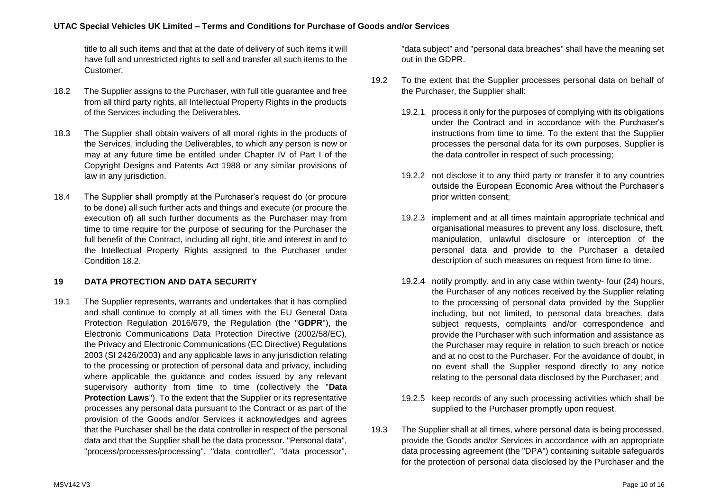title to all such items and that at the date of delivery of such items it will have full and unrestricted rights to sell and transfer all such items to the Customer.

- <span id="page-9-0"></span>18.2 The Supplier assigns to the Purchaser, with full title guarantee and free from all third party rights, all Intellectual Property Rights in the products of the Services including the Deliverables.
- 18.3 The Supplier shall obtain waivers of all moral rights in the products of the Services, including the Deliverables, to which any person is now or may at any future time be entitled under Chapter IV of Part I of the Copyright Designs and Patents Act 1988 or any similar provisions of law in any jurisdiction.
- 18.4 The Supplier shall promptly at the Purchaser's request do (or procure to be done) all such further acts and things and execute (or procure the execution of) all such further documents as the Purchaser may from time to time require for the purpose of securing for the Purchaser the full benefit of the Contract, including all right, title and interest in and to the Intellectual Property Rights assigned to the Purchaser under Condition 18.2

# <span id="page-9-1"></span>**19 DATA PROTECTION AND DATA SECURITY**

19.1 The Supplier represents, warrants and undertakes that it has complied and shall continue to comply at all times with the EU General Data Protection Regulation 2016/679, the Regulation (the "**GDPR**"), the Electronic Communications Data Protection Directive (2002/58/EC), the Privacy and Electronic Communications (EC Directive) Regulations 2003 (SI 2426/2003) and any applicable laws in any jurisdiction relating to the processing or protection of personal data and privacy, including where applicable the guidance and codes issued by any relevant supervisory authority from time to time (collectively the "**Data Protection Laws**"). To the extent that the Supplier or its representative processes any personal data pursuant to the Contract or as part of the provision of the Goods and/or Services it acknowledges and agrees that the Purchaser shall be the data controller in respect of the personal data and that the Supplier shall be the data processor. "Personal data", "process/processes/processing", "data controller", "data processor",

"data subject" and "personal data breaches" shall have the meaning set out in the GDPR.

- 19.2 To the extent that the Supplier processes personal data on behalf of the Purchaser, the Supplier shall:
	- 19.2.1 process it only for the purposes of complying with its obligations under the Contract and in accordance with the Purchaser's instructions from time to time. To the extent that the Supplier processes the personal data for its own purposes, Supplier is the data controller in respect of such processing;
	- 19.2.2 not disclose it to any third party or transfer it to any countries outside the European Economic Area without the Purchaser's prior written consent;
	- 19.2.3 implement and at all times maintain appropriate technical and organisational measures to prevent any loss, disclosure, theft, manipulation, unlawful disclosure or interception of the personal data and provide to the Purchaser a detailed description of such measures on request from time to time.
	- 19.2.4 notify promptly, and in any case within twenty- four (24) hours, the Purchaser of any notices received by the Supplier relating to the processing of personal data provided by the Supplier including, but not limited, to personal data breaches, data subject requests, complaints and/or correspondence and provide the Purchaser with such information and assistance as the Purchaser may require in relation to such breach or notice and at no cost to the Purchaser. For the avoidance of doubt, in no event shall the Supplier respond directly to any notice relating to the personal data disclosed by the Purchaser; and
	- 19.2.5 keep records of any such processing activities which shall be supplied to the Purchaser promptly upon request.
- 19.3 The Supplier shall at all times, where personal data is being processed, provide the Goods and/or Services in accordance with an appropriate data processing agreement (the "DPA") containing suitable safeguards for the protection of personal data disclosed by the Purchaser and the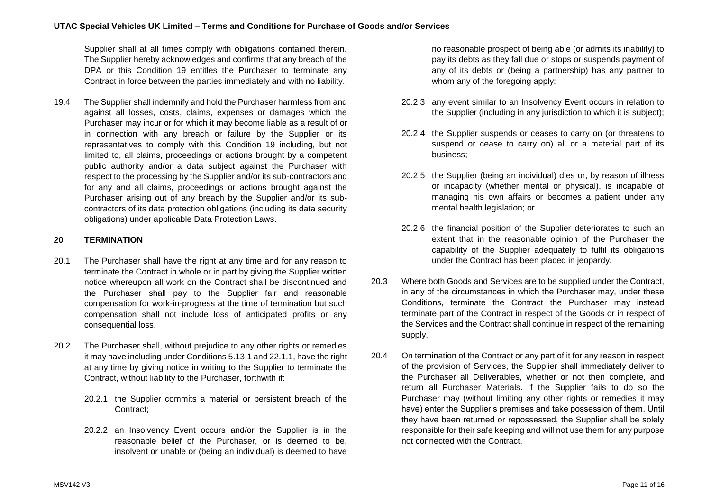Supplier shall at all times comply with obligations contained therein. The Supplier hereby acknowledges and confirms that any breach of the DPA or this Condition 19 entitles the Purchaser to terminate any Contract in force between the parties immediately and with no liability.

19.4 The Supplier shall indemnify and hold the Purchaser harmless from and against all losses, costs, claims, expenses or damages which the Purchaser may incur or for which it may become liable as a result of or in connection with any breach or failure by the Supplier or its representatives to comply with this Condition [19](#page-9-1) including, but not limited to, all claims, proceedings or actions brought by a competent public authority and/or a data subject against the Purchaser with respect to the processing by the Supplier and/or its sub-contractors and for any and all claims, proceedings or actions brought against the Purchaser arising out of any breach by the Supplier and/or its subcontractors of its data protection obligations (including its data security obligations) under applicable Data Protection Laws.

# <span id="page-10-0"></span>**20 TERMINATION**

- 20.1 The Purchaser shall have the right at any time and for any reason to terminate the Contract in whole or in part by giving the Supplier written notice whereupon all work on the Contract shall be discontinued and the Purchaser shall pay to the Supplier fair and reasonable compensation for work-in-progress at the time of termination but such compensation shall not include loss of anticipated profits or any consequential loss.
- <span id="page-10-1"></span>20.2 The Purchaser shall, without prejudice to any other rights or remedies it may have including under Condition[s 5.13.1](#page-4-1) and [22.1.1,](#page-11-1) have the right at any time by giving notice in writing to the Supplier to terminate the Contract, without liability to the Purchaser, forthwith if:
	- 20.2.1 the Supplier commits a material or persistent breach of the Contract;
	- 20.2.2 an Insolvency Event occurs and/or the Supplier is in the reasonable belief of the Purchaser, or is deemed to be, insolvent or unable or (being an individual) is deemed to have

no reasonable prospect of being able (or admits its inability) to pay its debts as they fall due or stops or suspends payment of any of its debts or (being a partnership) has any partner to whom any of the foregoing apply;

- 20.2.3 any event similar to an Insolvency Event occurs in relation to the Supplier (including in any jurisdiction to which it is subject);
- 20.2.4 the Supplier suspends or ceases to carry on (or threatens to suspend or cease to carry on) all or a material part of its business;
- 20.2.5 the Supplier (being an individual) dies or, by reason of illness or incapacity (whether mental or physical), is incapable of managing his own affairs or becomes a patient under any mental health legislation; or
- 20.2.6 the financial position of the Supplier deteriorates to such an extent that in the reasonable opinion of the Purchaser the capability of the Supplier adequately to fulfil its obligations under the Contract has been placed in jeopardy.
- 20.3 Where both Goods and Services are to be supplied under the Contract, in any of the circumstances in which the Purchaser may, under these Conditions, terminate the Contract the Purchaser may instead terminate part of the Contract in respect of the Goods or in respect of the Services and the Contract shall continue in respect of the remaining supply.
- 20.4 On termination of the Contract or any part of it for any reason in respect of the provision of Services, the Supplier shall immediately deliver to the Purchaser all Deliverables, whether or not then complete, and return all Purchaser Materials. If the Supplier fails to do so the Purchaser may (without limiting any other rights or remedies it may have) enter the Supplier's premises and take possession of them. Until they have been returned or repossessed, the Supplier shall be solely responsible for their safe keeping and will not use them for any purpose not connected with the Contract.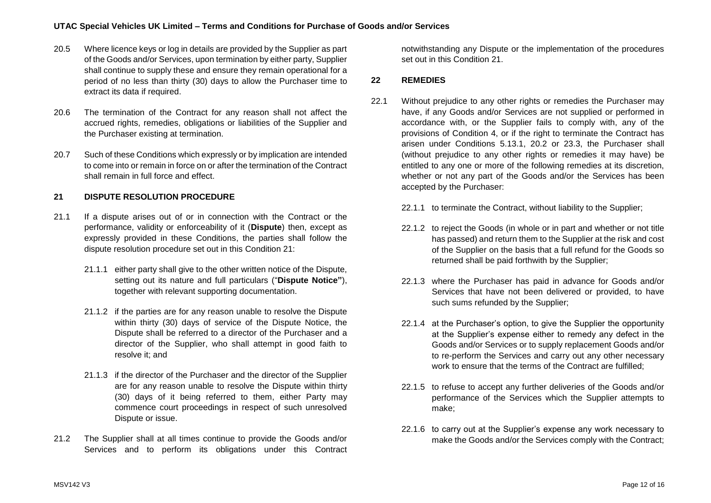- 20.5 Where licence keys or log in details are provided by the Supplier as part of the Goods and/or Services, upon termination by either party, Supplier shall continue to supply these and ensure they remain operational for a period of no less than thirty (30) days to allow the Purchaser time to extract its data if required.
- 20.6 The termination of the Contract for any reason shall not affect the accrued rights, remedies, obligations or liabilities of the Supplier and the Purchaser existing at termination.
- 20.7 Such of these Conditions which expressly or by implication are intended to come into or remain in force on or after the termination of the Contract shall remain in full force and effect.

# <span id="page-11-2"></span>**21 DISPUTE RESOLUTION PROCEDURE**

- 21.1 If a dispute arises out of or in connection with the Contract or the performance, validity or enforceability of it (**Dispute**) then, except as expressly provided in these Conditions, the parties shall follow the dispute resolution procedure set out in this Condition [21:](#page-11-2)
	- 21.1.1 either party shall give to the other written notice of the Dispute. setting out its nature and full particulars ("**Dispute Notice"**), together with relevant supporting documentation.
	- 21.1.2 if the parties are for any reason unable to resolve the Dispute within thirty (30) days of service of the Dispute Notice, the Dispute shall be referred to a director of the Purchaser and a director of the Supplier, who shall attempt in good faith to resolve it; and
	- 21.1.3 if the director of the Purchaser and the director of the Supplier are for any reason unable to resolve the Dispute within thirty (30) days of it being referred to them, either Party may commence court proceedings in respect of such unresolved Dispute or issue.
- 21.2 The Supplier shall at all times continue to provide the Goods and/or Services and to perform its obligations under this Contract

notwithstanding any Dispute or the implementation of the procedures set out in this Condition [21.](#page-11-2)

# <span id="page-11-0"></span>**22 REMEDIES**

- <span id="page-11-1"></span>22.1 Without prejudice to any other rights or remedies the Purchaser may have, if any Goods and/or Services are not supplied or performed in accordance with, or the Supplier fails to comply with, any of the provisions of Condition [4,](#page-2-1) or if the right to terminate the Contract has arisen under Conditions [5.13.1,](#page-4-1) [20.2](#page-10-1) or [23.3,](#page-12-0) the Purchaser shall (without prejudice to any other rights or remedies it may have) be entitled to any one or more of the following remedies at its discretion, whether or not any part of the Goods and/or the Services has been accepted by the Purchaser:
	- 22.1.1 to terminate the Contract, without liability to the Supplier;
	- 22.1.2 to reject the Goods (in whole or in part and whether or not title has passed) and return them to the Supplier at the risk and cost of the Supplier on the basis that a full refund for the Goods so returned shall be paid forthwith by the Supplier;
	- 22.1.3 where the Purchaser has paid in advance for Goods and/or Services that have not been delivered or provided, to have such sums refunded by the Supplier;
	- 22.1.4 at the Purchaser's option, to give the Supplier the opportunity at the Supplier's expense either to remedy any defect in the Goods and/or Services or to supply replacement Goods and/or to re-perform the Services and carry out any other necessary work to ensure that the terms of the Contract are fulfilled;
	- 22.1.5 to refuse to accept any further deliveries of the Goods and/or performance of the Services which the Supplier attempts to make;
	- 22.1.6 to carry out at the Supplier's expense any work necessary to make the Goods and/or the Services comply with the Contract;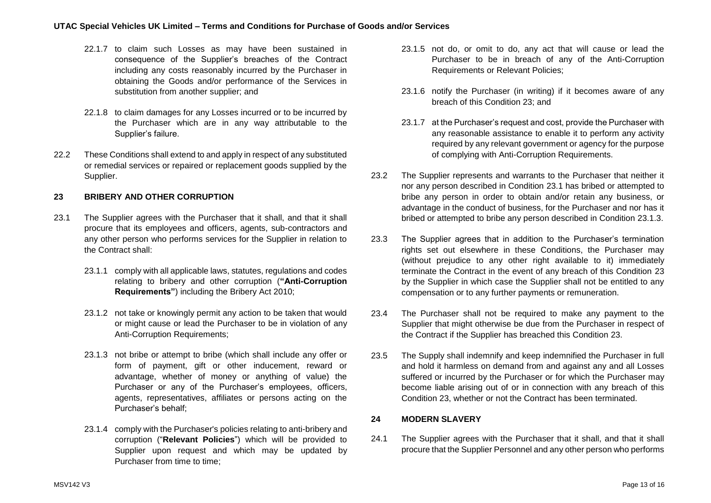- 22.1.7 to claim such Losses as may have been sustained in consequence of the Supplier's breaches of the Contract including any costs reasonably incurred by the Purchaser in obtaining the Goods and/or performance of the Services in substitution from another supplier; and
- 22.1.8 to claim damages for any Losses incurred or to be incurred by the Purchaser which are in any way attributable to the Supplier's failure.
- 22.2 These Conditions shall extend to and apply in respect of any substituted or remedial services or repaired or replacement goods supplied by the Supplier.

# <span id="page-12-3"></span>**23 BRIBERY AND OTHER CORRUPTION**

- <span id="page-12-2"></span><span id="page-12-1"></span>23.1 The Supplier agrees with the Purchaser that it shall, and that it shall procure that its employees and officers, agents, sub-contractors and any other person who performs services for the Supplier in relation to the Contract shall:
	- 23.1.1 comply with all applicable laws, statutes, regulations and codes relating to bribery and other corruption (**"Anti-Corruption Requirements"**) including the Bribery Act 2010;
	- 23.1.2 not take or knowingly permit any action to be taken that would or might cause or lead the Purchaser to be in violation of any Anti-Corruption Requirements;
	- 23.1.3 not bribe or attempt to bribe (which shall include any offer or form of payment, gift or other inducement, reward or advantage, whether of money or anything of value) the Purchaser or any of the Purchaser's employees, officers, agents, representatives, affiliates or persons acting on the Purchaser's behalf;
	- 23.1.4 comply with the Purchaser's policies relating to anti-bribery and corruption ("**Relevant Policies**") which will be provided to Supplier upon request and which may be updated by Purchaser from time to time:
- 23.1.5 not do, or omit to do, any act that will cause or lead the Purchaser to be in breach of any of the Anti-Corruption Requirements or Relevant Policies;
- 23.1.6 notify the Purchaser (in writing) if it becomes aware of any breach of this Condition 23; and
- 23.1.7 at the Purchaser's request and cost, provide the Purchaser with any reasonable assistance to enable it to perform any activity required by any relevant government or agency for the purpose of complying with Anti-Corruption Requirements.
- 23.2 The Supplier represents and warrants to the Purchaser that neither it nor any person described in Condition [23.1](#page-12-1) has bribed or attempted to bribe any person in order to obtain and/or retain any business, or advantage in the conduct of business, for the Purchaser and nor has it bribed or attempted to bribe any person described in Condition [23.1.3.](#page-12-2)
- <span id="page-12-0"></span>23.3 The Supplier agrees that in addition to the Purchaser's termination rights set out elsewhere in these Conditions, the Purchaser may (without prejudice to any other right available to it) immediately terminate the Contract in the event of any breach of this Condition [23](#page-12-3) by the Supplier in which case the Supplier shall not be entitled to any compensation or to any further payments or remuneration.
- 23.4 The Purchaser shall not be required to make any payment to the Supplier that might otherwise be due from the Purchaser in respect of the Contract if the Supplier has breached this Condition [23.](#page-12-3)
- 23.5 The Supply shall indemnify and keep indemnified the Purchaser in full and hold it harmless on demand from and against any and all Losses suffered or incurred by the Purchaser or for which the Purchaser may become liable arising out of or in connection with any breach of this Condition [23,](#page-12-3) whether or not the Contract has been terminated.

### <span id="page-12-5"></span>**24 MODERN SLAVERY**

<span id="page-12-4"></span>24.1 The Supplier agrees with the Purchaser that it shall, and that it shall procure that the Supplier Personnel and any other person who performs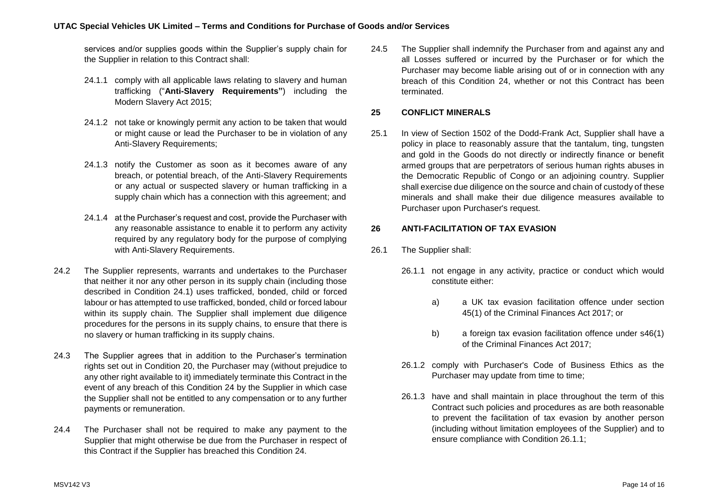services and/or supplies goods within the Supplier's supply chain for the Supplier in relation to this Contract shall:

- 24.1.1 comply with all applicable laws relating to slavery and human trafficking ("**Anti-Slavery Requirements"**) including the Modern Slavery Act 2015;
- 24.1.2 not take or knowingly permit any action to be taken that would or might cause or lead the Purchaser to be in violation of any Anti-Slavery Requirements;
- 24.1.3 notify the Customer as soon as it becomes aware of any breach, or potential breach, of the Anti-Slavery Requirements or any actual or suspected slavery or human trafficking in a supply chain which has a connection with this agreement; and
- 24.1.4 at the Purchaser's request and cost, provide the Purchaser with any reasonable assistance to enable it to perform any activity required by any regulatory body for the purpose of complying with Anti-Slavery Requirements.
- 24.2 The Supplier represents, warrants and undertakes to the Purchaser that neither it nor any other person in its supply chain (including those described in Condition [24.1\)](#page-12-4) uses trafficked, bonded, child or forced labour or has attempted to use trafficked, bonded, child or forced labour within its supply chain. The Supplier shall implement due diligence procedures for the persons in its supply chains, to ensure that there is no slavery or human trafficking in its supply chains.
- 24.3 The Supplier agrees that in addition to the Purchaser's termination rights set out in Condition [20,](#page-10-0) the Purchaser may (without prejudice to any other right available to it) immediately terminate this Contract in the event of any breach of this Condition [24](#page-12-5) by the Supplier in which case the Supplier shall not be entitled to any compensation or to any further payments or remuneration.
- 24.4 The Purchaser shall not be required to make any payment to the Supplier that might otherwise be due from the Purchaser in respect of this Contract if the Supplier has breached this Condition [24.](#page-12-5)

24.5 The Supplier shall indemnify the Purchaser from and against any and all Losses suffered or incurred by the Purchaser or for which the Purchaser may become liable arising out of or in connection with any breach of this Condition [24,](#page-12-5) whether or not this Contract has been terminated.

# **25 CONFLICT MINERALS**

25.1 In view of Section 1502 of the Dodd-Frank Act, Supplier shall have a policy in place to reasonably assure that the tantalum, ting, tungsten and gold in the Goods do not directly or indirectly finance or benefit armed groups that are perpetrators of serious human rights abuses in the Democratic Republic of Congo or an adjoining country. Supplier shall exercise due diligence on the source and chain of custody of these minerals and shall make their due diligence measures available to Purchaser upon Purchaser's request.

# **26 ANTI-FACILITATION OF TAX EVASION**

- 26.1 The Supplier shall:
	- 26.1.1 not engage in any activity, practice or conduct which would constitute either:
		- a) a UK tax evasion facilitation offence under section 45(1) of the Criminal Finances Act 2017; or
		- b) a foreign tax evasion facilitation offence under s46(1) of the Criminal Finances Act 2017;
	- 26.1.2 comply with Purchaser's Code of Business Ethics as the Purchaser may update from time to time;
	- 26.1.3 have and shall maintain in place throughout the term of this Contract such policies and procedures as are both reasonable to prevent the facilitation of tax evasion by another person (including without limitation employees of the Supplier) and to ensure compliance with Condition 26.1.1;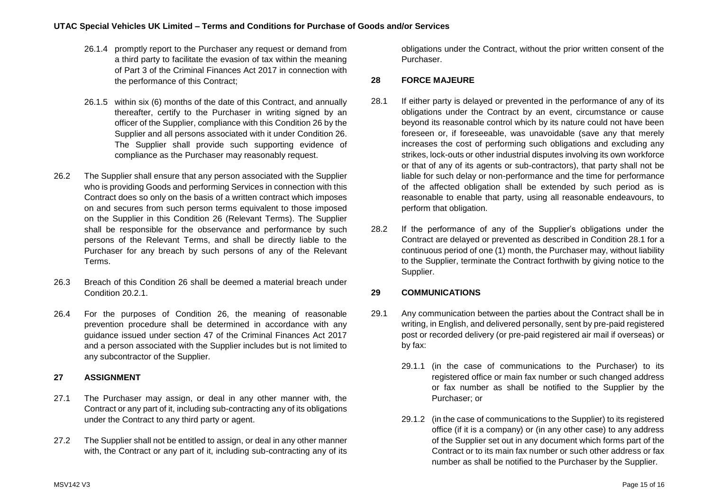- 26.1.4 promptly report to the Purchaser any request or demand from a third party to facilitate the evasion of tax within the meaning of Part 3 of the Criminal Finances Act 2017 in connection with the performance of this Contract;
- 26.1.5 within six (6) months of the date of this Contract, and annually thereafter, certify to the Purchaser in writing signed by an officer of the Supplier, compliance with this Condition 26 by the Supplier and all persons associated with it under Condition 26. The Supplier shall provide such supporting evidence of compliance as the Purchaser may reasonably request.
- 26.2 The Supplier shall ensure that any person associated with the Supplier who is providing Goods and performing Services in connection with this Contract does so only on the basis of a written contract which imposes on and secures from such person terms equivalent to those imposed on the Supplier in this Condition 26 (Relevant Terms). The Supplier shall be responsible for the observance and performance by such persons of the Relevant Terms, and shall be directly liable to the Purchaser for any breach by such persons of any of the Relevant Terms.
- 26.3 Breach of this Condition 26 shall be deemed a material breach under Condition 20.2.1.
- 26.4 For the purposes of Condition 26, the meaning of reasonable prevention procedure shall be determined in accordance with any guidance issued under section 47 of the Criminal Finances Act 2017 and a person associated with the Supplier includes but is not limited to any subcontractor of the Supplier.

# **27 ASSIGNMENT**

- 27.1 The Purchaser may assign, or deal in any other manner with, the Contract or any part of it, including sub-contracting any of its obligations under the Contract to any third party or agent.
- 27.2 The Supplier shall not be entitled to assign, or deal in any other manner with, the Contract or any part of it, including sub-contracting any of its

obligations under the Contract, without the prior written consent of the Purchaser.

# **28 FORCE MAJEURE**

- <span id="page-14-0"></span>28.1 If either party is delayed or prevented in the performance of any of its obligations under the Contract by an event, circumstance or cause beyond its reasonable control which by its nature could not have been foreseen or, if foreseeable, was unavoidable (save any that merely increases the cost of performing such obligations and excluding any strikes, lock-outs or other industrial disputes involving its own workforce or that of any of its agents or sub-contractors), that party shall not be liable for such delay or non-performance and the time for performance of the affected obligation shall be extended by such period as is reasonable to enable that party, using all reasonable endeavours, to perform that obligation.
- 28.2 If the performance of any of the Supplier's obligations under the Contract are delayed or prevented as described in Condition [28.1](#page-14-0) for a continuous period of one (1) month, the Purchaser may, without liability to the Supplier, terminate the Contract forthwith by giving notice to the Supplier.

# **29 COMMUNICATIONS**

- 29.1 Any communication between the parties about the Contract shall be in writing, in English, and delivered personally, sent by pre-paid registered post or recorded delivery (or pre-paid registered air mail if overseas) or by fax:
	- 29.1.1 (in the case of communications to the Purchaser) to its registered office or main fax number or such changed address or fax number as shall be notified to the Supplier by the Purchaser; or
	- 29.1.2 (in the case of communications to the Supplier) to its registered office (if it is a company) or (in any other case) to any address of the Supplier set out in any document which forms part of the Contract or to its main fax number or such other address or fax number as shall be notified to the Purchaser by the Supplier.